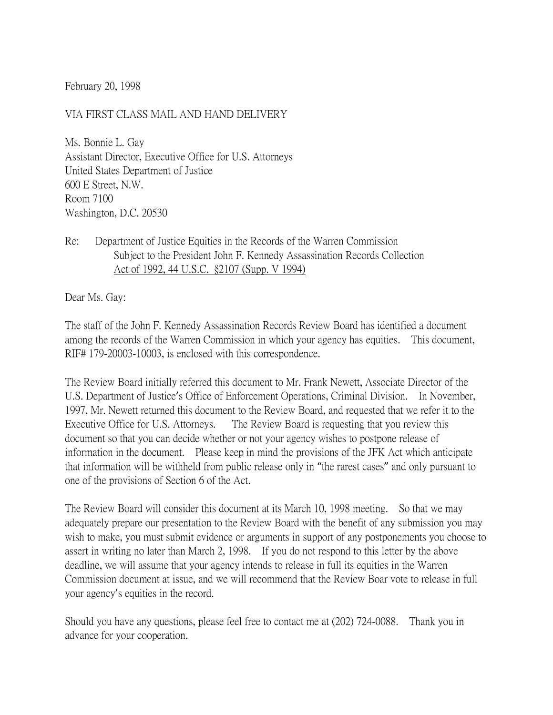February 20, 1998

## VIA FIRST CLASS MAIL AND HAND DELIVERY

Ms. Bonnie L. Gay Assistant Director, Executive Office for U.S. Attorneys United States Department of Justice 600 E Street, N.W. Room 7100 Washington, D.C. 20530

## Re: Department of Justice Equities in the Records of the Warren Commission Subject to the President John F. Kennedy Assassination Records Collection Act of 1992, 44 U.S.C. §2107 (Supp. V 1994)

Dear Ms. Gay:

The staff of the John F. Kennedy Assassination Records Review Board has identified a document among the records of the Warren Commission in which your agency has equities. This document, RIF# 179-20003-10003, is enclosed with this correspondence.

The Review Board initially referred this document to Mr. Frank Newett, Associate Director of the U.S. Department of Justice's Office of Enforcement Operations, Criminal Division. In November, 1997, Mr. Newett returned this document to the Review Board, and requested that we refer it to the Executive Office for U.S. Attorneys. The Review Board is requesting that you review this document so that you can decide whether or not your agency wishes to postpone release of information in the document. Please keep in mind the provisions of the JFK Act which anticipate that information will be withheld from public release only in "the rarest cases" and only pursuant to one of the provisions of Section 6 of the Act.

The Review Board will consider this document at its March 10, 1998 meeting. So that we may adequately prepare our presentation to the Review Board with the benefit of any submission you may wish to make, you must submit evidence or arguments in support of any postponements you choose to assert in writing no later than March 2, 1998. If you do not respond to this letter by the above deadline, we will assume that your agency intends to release in full its equities in the Warren Commission document at issue, and we will recommend that the Review Boar vote to release in full your agency's equities in the record.

Should you have any questions, please feel free to contact me at (202) 724-0088. Thank you in advance for your cooperation.